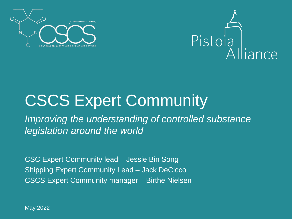



#### CSCS Expert Community

*Improving the understanding of controlled substance legislation around the world*

CSC Expert Community lead – Jessie Bin Song Shipping Expert Community Lead – Jack DeCicco CSCS Expert Community manager – Birthe Nielsen

May 2022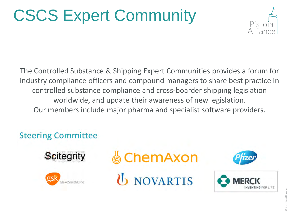## CSCS Expert Community



The Controlled Substance & Shipping Expert Communities provides a forum for industry compliance officers and compound managers to share best practice in controlled substance compliance and cross-boarder shipping legislation worldwide, and update their awareness of new legislation. Our members include major pharma and specialist software providers.

#### **Steering Committee**





**© ChemAxon** 

**U** NOVARTIS



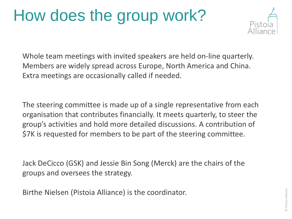#### How does the group work?



Whole team meetings with invited speakers are held on-line quarterly. Members are widely spread across Europe, North America and China. Extra meetings are occasionally called if needed.

The steering committee is made up of a single representative from each organisation that contributes financially. It meets quarterly, to steer the group's activities and hold more detailed discussions. A contribution of \$7K is requested for members to be part of the steering committee.

Jack DeCicco (GSK) and Jessie Bin Song (Merck) are the chairs of the groups and oversees the strategy.

Birthe Nielsen (Pistoia Alliance) is the coordinator.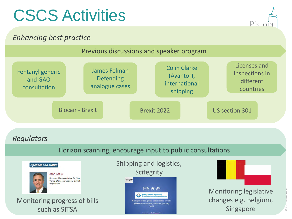### CSCS Activities

# Pistr

#### *Enhancing best practice*





**Marine M.D. Schools**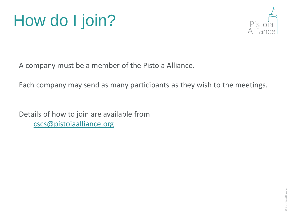



A company must be a member of the Pistoia Alliance.

Each company may send as many participants as they wish to the meetings.

Details of how to join are available from [cscs@pistoiaalliance.org](mailto:birthe.nielsen@pistoiaalliance.org)